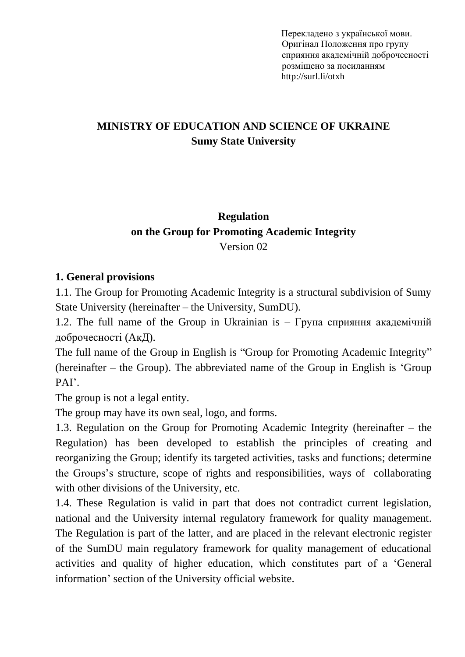Перекладено з української мови. Оригінал Положення про групу сприяння академічній доброчесності розміщено за посиланням http://surl.li/otxh

# **MINISTRY OF EDUCATION AND SCIENCE OF UKRAINE Sumy State University**

## **Regulation on the Group for Promoting Academic Integrity**  Version 02

#### **1. General provisions**

1.1. The Group for Promoting Academic Integrity is a structural subdivision of Sumy State University (hereinafter – the University, SumDU).

1.2. The full name of the Group in Ukrainian is – Група сприяння академічній доброчесності (AкД).

The full name of the Group in English is "Group for Promoting Academic Integrity" (hereinafter – the Group). The abbreviated name of the Group in English is 'Group PAI'.

The group is not a legal entity.

The group may have its own seal, logo, and forms.

1.3. Regulation on the Group for Promoting Academic Integrity (hereinafter – the Regulation) has been developed to establish the principles of creating and reorganizing the Group; identify its targeted activities, tasks and functions; determine the Groups's structure, scope of rights and responsibilities, ways of collaborating with other divisions of the University, etc.

1.4. These Regulation is valid in part that does not contradict current legislation, national and the University internal regulatory framework for quality management. The Regulation is part of the latter, and are placed in the relevant electronic register of the SumDU main regulatory framework for quality management of educational activities and quality of higher education, which constitutes part of a 'General information' section of the University official website.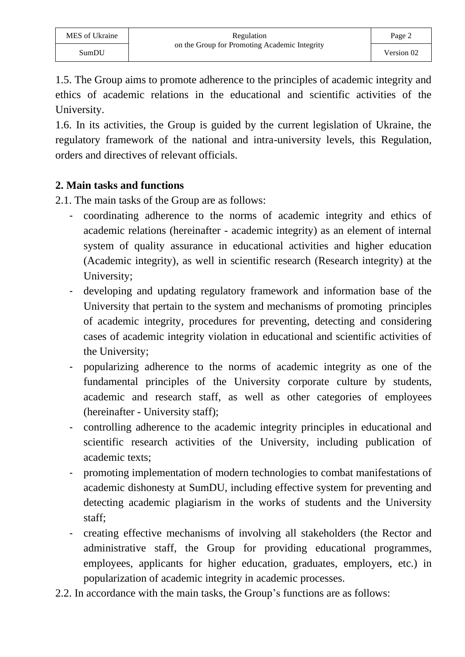1.5. The Group aims to promote adherence to the principles of academic integrity and ethics of academic relations in the educational and scientific activities of the University.

1.6. In its activities, the Group is guided by the current legislation of Ukraine, the regulatory framework of the national and intra-university levels, this Regulation, orders and directives of relevant officials.

#### **2. Main tasks and functions**

2.1. The main tasks of the Group are as follows:

- coordinating adherence to the norms of academic integrity and ethics of academic relations (hereinafter - academic integrity) as an element of internal system of quality assurance in educational activities and higher education (Academic integrity), as well in scientific research (Research integrity) at the University;
- developing and updating regulatory framework and information base of the University that pertain to the system and mechanisms of promoting principles of academic integrity, procedures for preventing, detecting and considering cases of academic integrity violation in educational and scientific activities of the University;
- popularizing adherence to the norms of academic integrity as one of the fundamental principles of the University corporate culture by students, academic and research staff, as well as other categories of employees (hereinafter - University staff);
- controlling adherence to the academic integrity principles in educational and scientific research activities of the University, including publication of academic texts;
- promoting implementation of modern technologies to combat manifestations of academic dishonesty at SumDU, including effective system for preventing and detecting academic plagiarism in the works of students and the University staff;
- creating effective mechanisms of involving all stakeholders (the Rector and administrative staff, the Group for providing educational programmes, employees, applicants for higher education, graduates, employers, etc.) in popularization of academic integrity in academic processes.
- 2.2. In accordance with the main tasks, the Group's functions are as follows: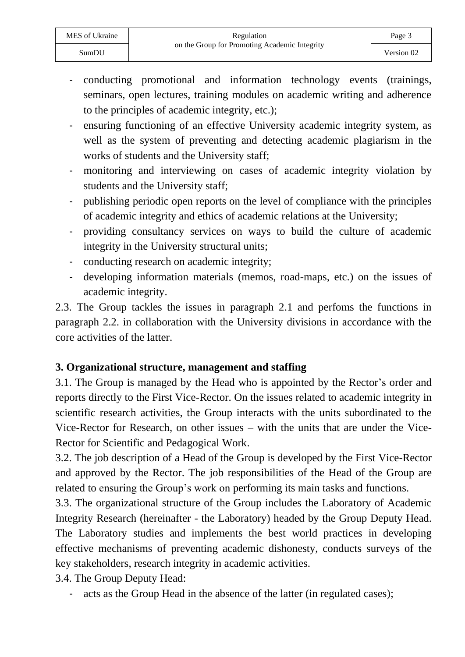- conducting promotional and information technology events (trainings, seminars, open lectures, training modules on academic writing and adherence to the principles of academic integrity, etc.);
- ensuring functioning of an effective University academic integrity system, as well as the system of preventing and detecting academic plagiarism in the works of students and the University staff;
- monitoring and interviewing on cases of academic integrity violation by students and the University staff;
- publishing periodic open reports on the level of compliance with the principles of academic integrity and ethics of academic relations at the University;
- providing consultancy services on ways to build the culture of academic integrity in the University structural units;
- conducting research on academic integrity;
- developing information materials (memos, road-maps, etc.) on the issues of academic integrity.

2.3. The Group tackles the issues in paragraph 2.1 and perfoms the functions in paragraph 2.2. in collaboration with the University divisions in accordance with the core activities of the latter.

#### **3. Organizational structure, management and staffing**

3.1. The Group is managed by the Head who is appointed by the Rector's order and reports directly to the First Vice-Rector. On the issues related to academic integrity in scientific research activities, the Group interacts with the units subordinated to the Vice-Rector for Research, on other issues – with the units that are under the Vice-Rector for Scientific and Pedagogical Work.

3.2. The job description of a Head of the Group is developed by the First Vice-Rector and approved by the Rector. The job responsibilities of the Head of the Group are related to ensuring the Group's work on performing its main tasks and functions.

3.3. The organizational structure of the Group includes the Laboratory of Academic Integrity Research (hereinafter - the Laboratory) headed by the Group Deputy Head. The Laboratory studies and implements the best world practices in developing effective mechanisms of preventing academic dishonesty, conducts surveys of the key stakeholders, research integrity in academic activities.

3.4. The Group Deputy Head:

- acts as the Group Head in the absence of the latter (in regulated cases);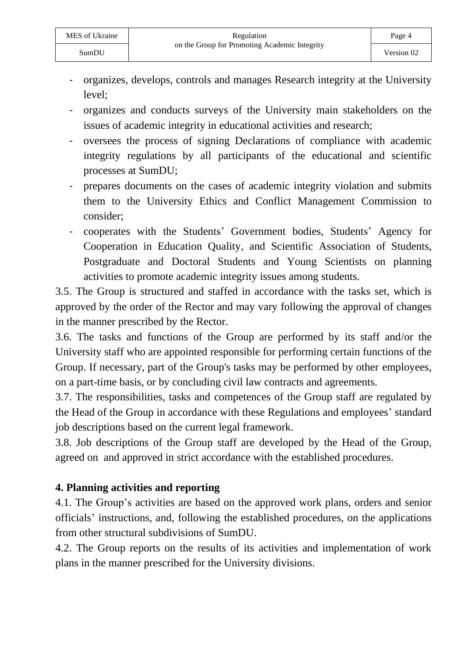- organizes, develops, controls and manages Research integrity at the University level;
- organizes and conducts surveys of the University main stakeholders on the issues of academic integrity in educational activities and research;
- oversees the process of signing Declarations of compliance with academic integrity regulations by all participants of the educational and scientific processes at SumDU;
- prepares documents on the cases of academic integrity violation and submits them to the University Ethics and Conflict Management Commission to consider;
- cooperates with the Students' Government bodies, Students' Agency for Cooperation in Education Quality, and Scientific Association of Students, Postgraduate and Doctoral Students and Young Scientists on planning activities to promote academic integrity issues among students.

3.5. The Group is structured and staffed in accordance with the tasks set, which is approved by the order of the Rector and may vary following the approval of changes in the manner prescribed by the Rector.

3.6. The tasks and functions of the Group are performed by its staff and/or the University staff who are appointed responsible for performing certain functions of the Group. If necessary, part of the Group's tasks may be performed by other employees, on a part-time basis, or by concluding civil law contracts and agreements.

3.7. The responsibilities, tasks and competences of the Group staff are regulated by the Head of the Group in accordance with these Regulations and employees' standard job descriptions based on the current legal framework.

3.8. Job descriptions of the Group staff are developed by the Head of the Group, agreed on and approved in strict accordance with the established procedures.

### **4. Planning activities and reporting**

4.1. The Group's activities are based on the approved work plans, orders and senior officials' instructions, and, following the established procedures, on the applications from other structural subdivisions of SumDU.

4.2. The Group reports on the results of its activities and implementation of work plans in the manner prescribed for the University divisions.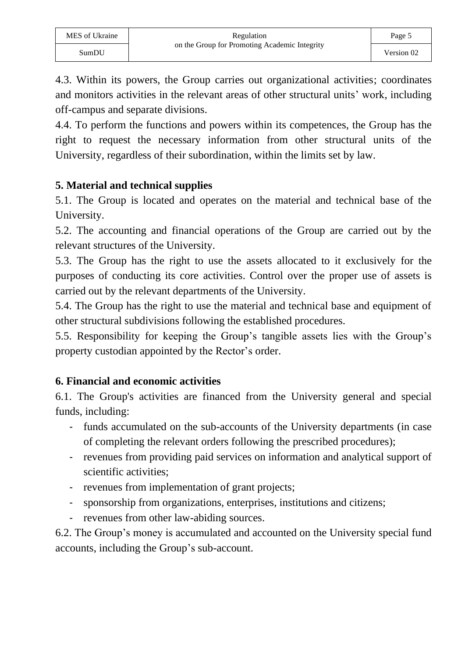4.3. Within its powers, the Group carries out organizational activities; coordinates and monitors activities in the relevant areas of other structural units' work, including off-campus and separate divisions.

4.4. To perform the functions and powers within its competences, the Group has the right to request the necessary information from other structural units of the University, regardless of their subordination, within the limits set by law.

### **5. Material and technical supplies**

5.1. The Group is located and operates on the material and technical base of the University.

5.2. The accounting and financial operations of the Group are carried out by the relevant structures of the University.

5.3. The Group has the right to use the assets allocated to it exclusively for the purposes of conducting its core activities. Control over the proper use of assets is carried out by the relevant departments of the University.

5.4. The Group has the right to use the material and technical base and equipment of other structural subdivisions following the established procedures.

5.5. Responsibility for keeping the Group's tangible assets lies with the Group's property custodian appointed by the Rector's order.

#### **6. Financial and economic activities**

6.1. The Group's activities are financed from the University general and special funds, including:

- funds accumulated on the sub-accounts of the University departments (in case of completing the relevant orders following the prescribed procedures);
- revenues from providing paid services on information and analytical support of scientific activities;
- revenues from implementation of grant projects;
- sponsorship from organizations, enterprises, institutions and citizens;
- revenues from other law-abiding sources.

6.2. The Group's money is accumulated and accounted on the University special fund accounts, including the Group's sub-account.